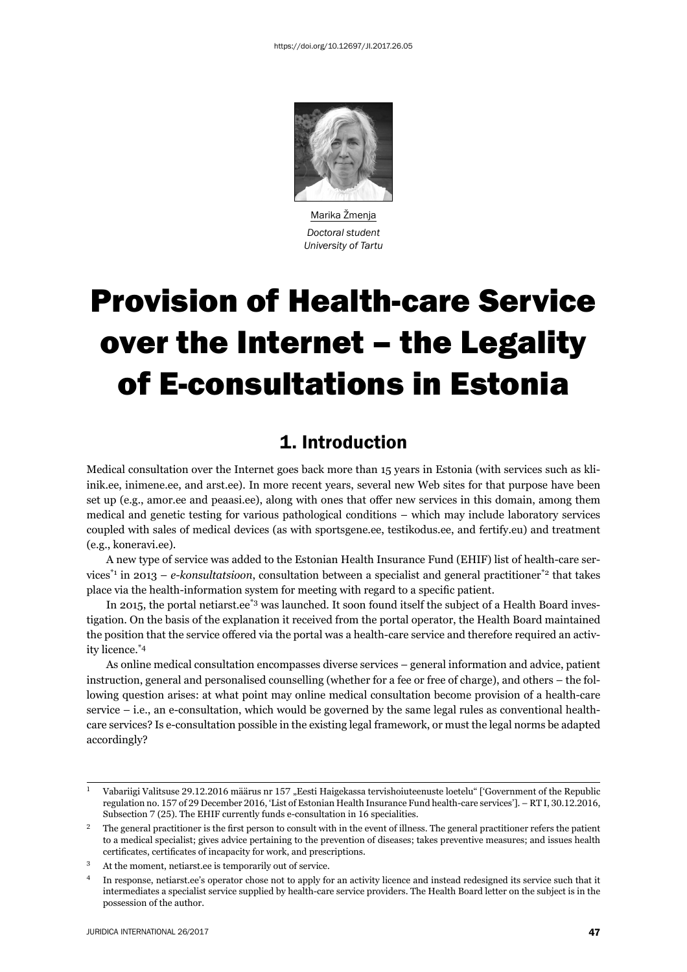

Marika Žmenja *Doctoral student University of Tartu*

# Provision of Health-care Service over the Internet – the Legality of E-consultations in Estonia

## 1. Introduction

Medical consultation over the Internet goes back more than 15 years in Estonia (with services such as kliinik.ee, inimene.ee, and arst.ee). In more recent years, several new Web sites for that purpose have been set up (e.g., amor.ee and peaasi.ee), along with ones that offer new services in this domain, among them medical and genetic testing for various pathological conditions – which may include laboratory services coupled with sales of medical devices (as with sportsgene.ee, testikodus.ee, and fertify.eu) and treatment (e.g., koneravi.ee).

A new type of service was added to the Estonian Health Insurance Fund (EHIF) list of health-care services<sup>\*1</sup> in 2013 – *e-konsultatsioon*, consultation between a specialist and general practitioner<sup>\*2</sup> that takes place via the health-information system for meeting with regard to a specific patient.

In 2015, the portal netiarst.ee\*3 was launched. It soon found itself the subject of a Health Board investigation. On the basis of the explanation it received from the portal operator, the Health Board maintained the position that the service offered via the portal was a health-care service and therefore required an activity licence.\*4

As online medical consultation encompasses diverse services – general information and advice, patient instruction, general and personalised counselling (whether for a fee or free of charge), and others – the following question arises: at what point may online medical consultation become provision of a health-care service – i.e., an e-consultation, which would be governed by the same legal rules as conventional healthcare services? Is e-consultation possible in the existing legal framework, or must the legal norms be adapted accordingly?

<sup>&</sup>lt;sup>1</sup> Vabariigi Valitsuse 29.12.2016 määrus nr 157 "Eesti Haigekassa tervishoiuteenuste loetelu" ['Government of the Republic regulation no. 157 of 29 December 2016, 'List of Estonian Health Insurance Fund health-care services']. – RT I, 30.12.2016, Subsection  $7$  (25). The EHIF currently funds e-consultation in 16 specialities.

 $\frac{2}{1}$  The general practitioner is the first person to consult with in the event of illness. The general practitioner refers the patient to a medical specialist; gives advice pertaining to the prevention of diseases; takes preventive measures; and issues health certificates, certificates of incapacity for work, and prescriptions.

<sup>ɴ</sup> At the moment, netiarst.ee is temporarily out of service.

In response, netiarst.ee's operator chose not to apply for an activity licence and instead redesigned its service such that it intermediates a specialist service supplied by health-care service providers. The Health Board letter on the subject is in the possession of the author.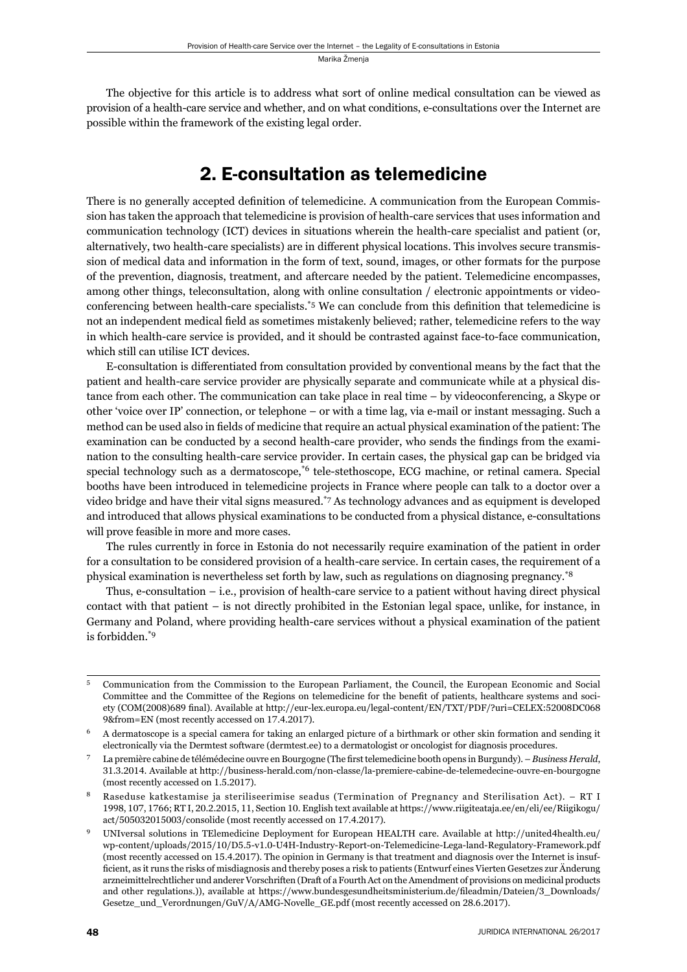The objective for this article is to address what sort of online medical consultation can be viewed as provision of a health-care service and whether, and on what conditions, e-consultations over the Internet are possible within the framework of the existing legal order.

## 2. E-consultation as telemedicine

There is no generally accepted definition of telemedicine. A communication from the European Commission has taken the approach that telemedicine is provision of health-care services that uses information and communication technology (ICT) devices in situations wherein the health-care specialist and patient (or, alternatively, two health-care specialists) are in different physical locations. This involves secure transmission of medical data and information in the form of text, sound, images, or other formats for the purpose of the prevention, diagnosis, treatment, and aftercare needed by the patient. Telemedicine encompasses, among other things, teleconsultation, along with online consultation / electronic appointments or videoconferencing between health-care specialists.<sup>\*5</sup> We can conclude from this definition that telemedicine is not an independent medical field as sometimes mistakenly believed; rather, telemedicine refers to the way in which health-care service is provided, and it should be contrasted against face-to-face communication, which still can utilise ICT devices.

E-consultation is differentiated from consultation provided by conventional means by the fact that the patient and health-care service provider are physically separate and communicate while at a physical distance from each other. The communication can take place in real time – by videoconferencing, a Skype or other 'voice over IP' connection, or telephone – or with a time lag, via e-mail or instant messaging. Such a method can be used also in fields of medicine that require an actual physical examination of the patient: The examination can be conducted by a second health-care provider, who sends the findings from the examination to the consulting health-care service provider. In certain cases, the physical gap can be bridged via special technology such as a dermatoscope,<sup>\*6</sup> tele-stethoscope, ECG machine, or retinal camera. Special booths have been introduced in telemedicine projects in France where people can talk to a doctor over a video bridge and have their vital signs measured.\*7 As technology advances and as equipment is developed and introduced that allows physical examinations to be conducted from a physical distance, e-consultations will prove feasible in more and more cases.

The rules currently in force in Estonia do not necessarily require examination of the patient in order for a consultation to be considered provision of a health-care service. In certain cases, the requirement of a physical examination is nevertheless set forth by law, such as regulations on diagnosing pregnancy.\*8

Thus, e-consultation  $-$  i.e., provision of health-care service to a patient without having direct physical contact with that patient – is not directly prohibited in the Estonian legal space, unlike, for instance, in Germany and Poland, where providing health-care services without a physical examination of the patient is forbidden.\*9

<sup>ɶ</sup> Communication from the Commission to the European Parliament, the Council, the European Economic and Social Committee and the Committee of the Regions on telemedicine for the benefit of patients, healthcare systems and society (COM(2008)689 final). Available at http://eur-lex.europa.eu/legal-content/EN/TXT/PDF/?uri=CELEX:52008DC068 9&from=EN (most recently accessed on 17.4.2017).

<sup>ɷ</sup> A dermatoscope is a special camera for taking an enlarged picture of a birthmark or other skin formation and sending it electronically via the Dermtest software (dermtest.ee) to a dermatologist or oncologist for diagnosis procedures.

La première cabine de télémédecine ouvre en Bourgogne (The first telemedicine booth opens in Burgundy). – *Business Herald*, 31.3.2014. Available at http://business-herald.com/non-classe/la-premiere-cabine-de-telemedecine-ouvre-en-bourgogne (most recently accessed on 1.5.2017).

Raseduse katkestamise ja steriliseerimise seadus (Termination of Pregnancy and Sterilisation Act). – RT I 1998, 107, 1766; RT I, 20.2.2015, 11, Section 10. English text available at https://www.riigiteataja.ee/en/eli/ee/Riigikogu/ act/505032015003/consolide (most recently accessed on 17.4.2017).

UNIversal solutions in TElemedicine Deployment for European HEALTH care. Available at http://united4health.eu/ wp-content/uploads/2015/10/D5.5-v1.0-U4H-Industry-Report-on-Telemedicine-Lega-land-Regulatory-Framework.pdf (most recently accessed on 15.4.2017). The opinion in Germany is that treatment and diagnosis over the Internet is insufficient, as it runs the risks of misdiagnosis and thereby poses a risk to patients (Entwurf eines Vierten Gesetzes zur Änderung arzneimittelrechtlicher und anderer Vorschriften (Draft of a Fourth Act on the Amendment of provisions on medicinal products and other regulations.)), available at https://www.bundesgesundheitsministerium.de/fileadmin/Dateien/3 Downloads/ Gesetze\_und\_Verordnungen/GuV/A/AMG-Novelle\_GE.pdf (most recently accessed on 28.6.2017).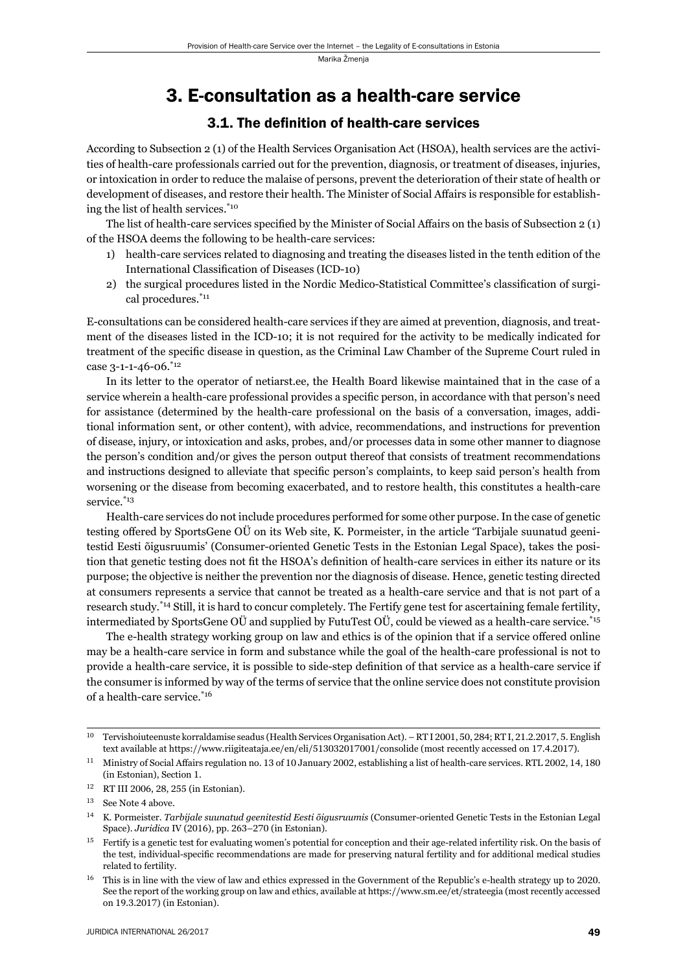### 3. E-consultation as a health-care service

#### 3.1. The definition of health-care services

According to Subsection 2 (1) of the Health Services Organisation Act (HSOA), health services are the activities of health-care professionals carried out for the prevention, diagnosis, or treatment of diseases, injuries, or intoxication in order to reduce the malaise of persons, prevent the deterioration of their state of health or development of diseases, and restore their health. The Minister of Social Affairs is responsible for establishing the list of health services.\*10

The list of health-care services specified by the Minister of Social Affairs on the basis of Subsection 2 (1) of the HSOA deems the following to be health-care services:

- 1) health-care services related to diagnosing and treating the diseases listed in the tenth edition of the International Classification of Diseases (ICD-10)
- 2) the surgical procedures listed in the Nordic Medico-Statistical Committee's classification of surgical procedures.\*11

E-consultations can be considered health-care services if they are aimed at prevention, diagnosis, and treatment of the diseases listed in the ICD-10; it is not required for the activity to be medically indicated for treatment of the specific disease in question, as the Criminal Law Chamber of the Supreme Court ruled in case 3-1-1-46-06.\*12

In its letter to the operator of netiarst.ee, the Health Board likewise maintained that in the case of a service wherein a health-care professional provides a specific person, in accordance with that person's need for assistance (determined by the health-care professional on the basis of a conversation, images, additional information sent, or other content), with advice, recommendations, and instructions for prevention of disease, injury, or intoxication and asks, probes, and/or processes data in some other manner to diagnose the person's condition and/or gives the person output thereof that consists of treatment recommendations and instructions designed to alleviate that specific person's complaints, to keep said person's health from worsening or the disease from becoming exacerbated, and to restore health, this constitutes a health-care service.\*<sup>13</sup>

Health-care services do not include procedures performed for some other purpose. In the case of genetic testing offered by SportsGene OÜ on its Web site, K. Pormeister, in the article 'Tarbijale suunatud geenitestid Eesti õigusruumis' (Consumer-oriented Genetic Tests in the Estonian Legal Space), takes the position that genetic testing does not fit the HSOA's definition of health-care services in either its nature or its purpose; the objective is neither the prevention nor the diagnosis of disease. Hence, genetic testing directed at consumers represents a service that cannot be treated as a health-care service and that is not part of a research study.\*14 Still, it is hard to concur completely. The Fertify gene test for ascertaining female fertility, intermediated by SportsGene OÜ and supplied by FutuTest OÜ, could be viewed as a health-care service.\*15

The e-health strategy working group on law and ethics is of the opinion that if a service offered online may be a health-care service in form and substance while the goal of the health-care professional is not to provide a health-care service, it is possible to side-step definition of that service as a health-care service if the consumer is informed by way of the terms of service that the online service does not constitute provision of a health-care service.\*16

Tervishoiuteenuste korraldamise seadus (Health Services Organisation Act). – RT I 2001, 50, 284; RT I, 21.2.2017, 5. English text available at https://www.riigiteataja.ee/en/eli/513032017001/consolide (most recently accessed on 17.4.2017).

 $^{11}$  Ministry of Social Affairs regulation no. 13 of 10 January 2002, establishing a list of health-care services. RTL 2002, 14, 180 (in Estonian), Section 1.

<sup>12</sup> RT III 2006, 28, 255 (in Estonian).

<sup>&</sup>lt;sup>13</sup> See Note 4 above.

ɲɵ K. Pormeister. *Tarbijale suunatud geenitestid Eesti õigusruumis* (Consumer-oriented Genetic Tests in the Estonian Legal Space). *Juridica* IV (2016), pp. 263-270 (in Estonian).

<sup>&</sup>lt;sup>15</sup> Fertify is a genetic test for evaluating women's potential for conception and their age-related infertility risk. On the basis of the test, individual-specifi c recommendations are made for preserving natural fertility and for additional medical studies related to fertility.

This is in line with the view of law and ethics expressed in the Government of the Republic's e-health strategy up to 2020. See the report of the working group on law and ethics, available at https://www.sm.ee/et/strateegia (most recently accessed on 19.3.2017) (in Estonian).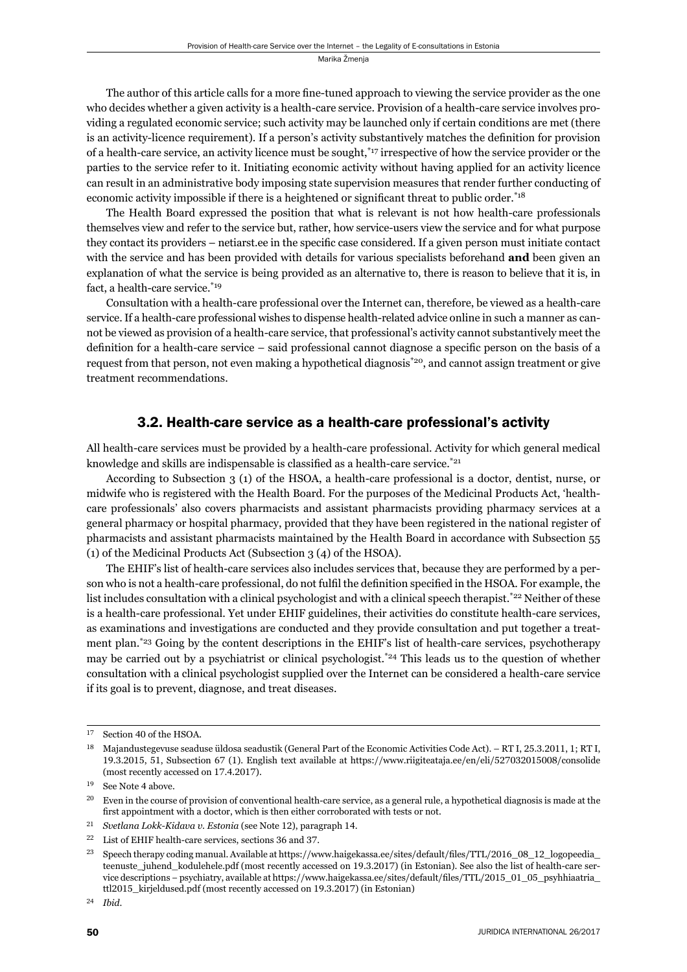The author of this article calls for a more fine-tuned approach to viewing the service provider as the one who decides whether a given activity is a health-care service. Provision of a health-care service involves providing a regulated economic service; such activity may be launched only if certain conditions are met (there is an activity-licence requirement). If a person's activity substantively matches the definition for provision of a health-care service, an activity licence must be sought,\*17 irrespective of how the service provider or the parties to the service refer to it. Initiating economic activity without having applied for an activity licence can result in an administrative body imposing state supervision measures that render further conducting of economic activity impossible if there is a heightened or significant threat to public order.<sup>\*18</sup>

The Health Board expressed the position that what is relevant is not how health-care professionals themselves view and refer to the service but, rather, how service-users view the service and for what purpose they contact its providers – netiarst.ee in the specific case considered. If a given person must initiate contact with the service and has been provided with details for various specialists beforehand **and** been given an explanation of what the service is being provided as an alternative to, there is reason to believe that it is, in fact, a health-care service.\*19

Consultation with a health-care professional over the Internet can, therefore, be viewed as a health-care service. If a health-care professional wishes to dispense health-related advice online in such a manner as cannot be viewed as provision of a health-care service, that professional's activity cannot substantively meet the definition for a health-care service  $-$  said professional cannot diagnose a specific person on the basis of a request from that person, not even making a hypothetical diagnosis\*20, and cannot assign treatment or give treatment recommendations.

#### 3.2. Health-care service as a health-care professional's activity

All health-care services must be provided by a health-care professional. Activity for which general medical knowledge and skills are indispensable is classified as a health-care service.<sup> $*_{21}$ </sup>

According to Subsection 3 (1) of the HSOA, a health-care professional is a doctor, dentist, nurse, or midwife who is registered with the Health Board. For the purposes of the Medicinal Products Act, 'healthcare professionals' also covers pharmacists and assistant pharmacists providing pharmacy services at a general pharmacy or hospital pharmacy, provided that they have been registered in the national register of pharmacists and assistant pharmacists maintained by the Health Board in accordance with Subsection 55 (1) of the Medicinal Products Act (Subsection 3 (4) of the HSOA).

The EHIF's list of health-care services also includes services that, because they are performed by a person who is not a health-care professional, do not fulfil the definition specified in the HSOA. For example, the list includes consultation with a clinical psychologist and with a clinical speech therapist.<sup>\*22</sup> Neither of these is a health-care professional. Yet under EHIF guidelines, their activities do constitute health-care services, as examinations and investigations are conducted and they provide consultation and put together a treatment plan.\*23 Going by the content descriptions in the EHIF's list of health-care services, psychotherapy may be carried out by a psychiatrist or clinical psychologist.\*24 This leads us to the question of whether consultation with a clinical psychologist supplied over the Internet can be considered a health-care service if its goal is to prevent, diagnose, and treat diseases.

<sup>&</sup>lt;sup>17</sup> Section 40 of the HSOA.

<sup>&</sup>lt;sup>18</sup> Majandustegevuse seaduse üldosa seadustik (General Part of the Economic Activities Code Act). – RT I, 25.3.2011, 1; RT I, 19.3.2015, 51, Subsection 67 (1). English text available at https://www.riigiteataja.ee/en/eli/527032015008/consolide (most recently accessed on 17.4.2017).

<sup>&</sup>lt;sup>19</sup> See Note 4 above.

<sup>&</sup>lt;sup>20</sup> Even in the course of provision of conventional health-care service, as a general rule, a hypothetical diagnosis is made at the first appointment with a doctor, which is then either corroborated with tests or not.

<sup>&</sup>lt;sup>21</sup> *Svetlana Lokk-Kidava v. Estonia* (see Note 12), paragraph 14.

 $22$  List of EHIF health-care services, sections 36 and 37.

<sup>&</sup>lt;sup>23</sup> Speech therapy coding manual. Available at https://www.haigekassa.ee/sites/default/files/TTL/2016\_08\_12\_logopeedia\_ teenuste\_juhend\_kodulehele.pdf (most recently accessed on 19.3.2017) (in Estonian). See also the list of health-care service descriptions – psychiatry, available at https://www.haigekassa.ee/sites/default/files/TTL/2015\_01\_05\_psyhhiaatria\_ ttl2015\_kirjeldused.pdf (most recently accessed on 19.3.2017) (in Estonian)

ɳɵ *Ibid*.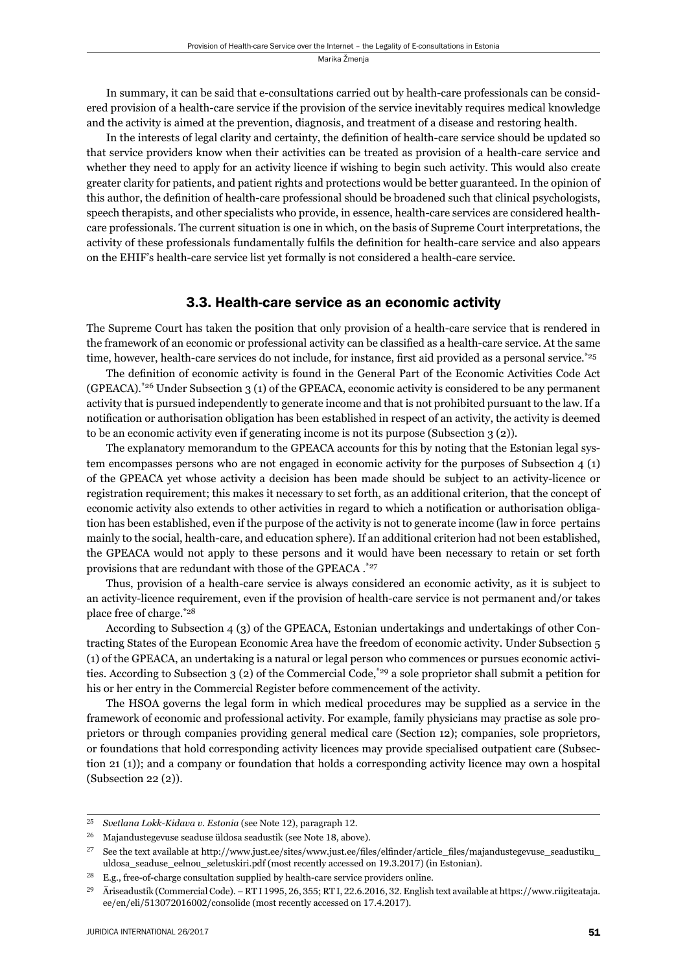In summary, it can be said that e-consultations carried out by health-care professionals can be considered provision of a health-care service if the provision of the service inevitably requires medical knowledge and the activity is aimed at the prevention, diagnosis, and treatment of a disease and restoring health.

In the interests of legal clarity and certainty, the definition of health-care service should be updated so that service providers know when their activities can be treated as provision of a health-care service and whether they need to apply for an activity licence if wishing to begin such activity. This would also create greater clarity for patients, and patient rights and protections would be better guaranteed. In the opinion of this author, the definition of health-care professional should be broadened such that clinical psychologists, speech therapists, and other specialists who provide, in essence, health-care services are considered healthcare professionals. The current situation is one in which, on the basis of Supreme Court interpretations, the activity of these professionals fundamentally fulfils the definition for health-care service and also appears on the EHIF's health-care service list yet formally is not considered a health-care service.

#### 3.3. Health-care service as an economic activity

The Supreme Court has taken the position that only provision of a health-care service that is rendered in the framework of an economic or professional activity can be classified as a health-care service. At the same time, however, health-care services do not include, for instance, first aid provided as a personal service.\*25

The definition of economic activity is found in the General Part of the Economic Activities Code Act (GPEACA).\*26 Under Subsection 3 (1) of the GPEACA, economic activity is considered to be any permanent activity that is pursued independently to generate income and that is not prohibited pursuant to the law. If a notification or authorisation obligation has been established in respect of an activity, the activity is deemed to be an economic activity even if generating income is not its purpose (Subsection 3 (2)).

The explanatory memorandum to the GPEACA accounts for this by noting that the Estonian legal system encompasses persons who are not engaged in economic activity for the purposes of Subsection 4 (1) of the GPEACA yet whose activity a decision has been made should be subject to an activity-licence or registration requirement; this makes it necessary to set forth, as an additional criterion, that the concept of economic activity also extends to other activities in regard to which a notification or authorisation obligation has been established, even if the purpose of the activity is not to generate income (law in force pertains mainly to the social, health-care, and education sphere). If an additional criterion had not been established, the GPEACA would not apply to these persons and it would have been necessary to retain or set forth provisions that are redundant with those of the GPEACA .\*27

Thus, provision of a health-care service is always considered an economic activity, as it is subject to an activity-licence requirement, even if the provision of health-care service is not permanent and/or takes place free of charge.\*28

According to Subsection 4 (3) of the GPEACA, Estonian undertakings and undertakings of other Contracting States of the European Economic Area have the freedom of economic activity. Under Subsection 5 (1) of the GPEACA, an undertaking is a natural or legal person who commences or pursues economic activities. According to Subsection 3 (2) of the Commercial Code,\*29 a sole proprietor shall submit a petition for his or her entry in the Commercial Register before commencement of the activity.

The HSOA governs the legal form in which medical procedures may be supplied as a service in the framework of economic and professional activity. For example, family physicians may practise as sole proprietors or through companies providing general medical care (Section 12); companies, sole proprietors, or foundations that hold corresponding activity licences may provide specialised outpatient care (Subsection 21 (1)); and a company or foundation that holds a corresponding activity licence may own a hospital ( Subsection 22 (2)).

<sup>&</sup>lt;sup>25</sup> *Svetlana Lokk-Kidava v. Estonia* (see Note 12), paragraph 12.

 $^{26}$  Majandustegevuse seaduse üldosa seadustik (see Note 18, above).

<sup>&</sup>lt;sup>27</sup> See the text available at http://www.just.ee/sites/www.just.ee/files/elfinder/article\_files/majandustegevuse\_seadustiku\_ uldosa\_seaduse\_eelnou\_seletuskiri.pdf (most recently accessed on 19.3.2017) (in Estonian).

<sup>&</sup>lt;sup>28</sup> E.g., free-of-charge consultation supplied by health-care service providers online.

 $^{29}$  Äriseadustik (Commercial Code). – RT I 1995, 26, 355; RT I, 22.6.2016, 32. English text available at https://www.riigiteataja. ee/en/eli/513072016002/consolide (most recently accessed on 17.4.2017).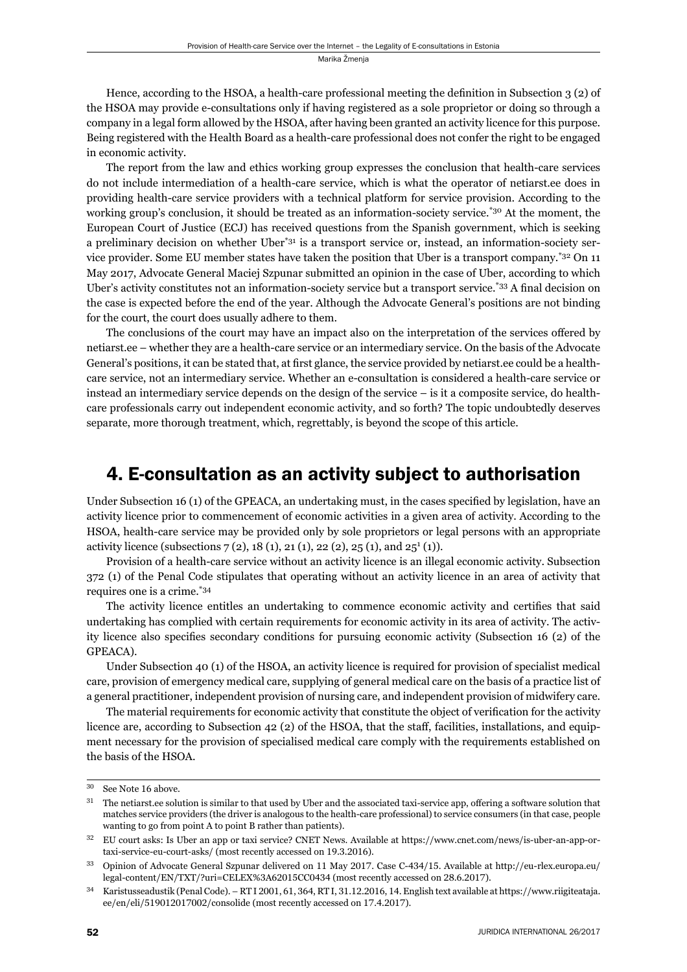Hence, according to the HSOA, a health-care professional meeting the definition in Subsection  $3(2)$  of the HSOA may provide e-consultations only if having registered as a sole proprietor or doing so through a company in a legal form allowed by the HSOA, after having been granted an activity licence for this purpose. Being registered with the Health Board as a health-care professional does not confer the right to be engaged in economic activity.

The report from the law and ethics working group expresses the conclusion that health-care services do not include intermediation of a health-care service, which is what the operator of netiarst.ee does in providing health-care service providers with a technical platform for service provision. According to the working group's conclusion, it should be treated as an information-society service.<sup>\*30</sup> At the moment, the European Court of Justice (ECJ) has received questions from the Spanish government, which is seeking a preliminary decision on whether Uber<sup>\*31</sup> is a transport service or, instead, an information-society service provider. Some EU member states have taken the position that Uber is a transport company.\*32 On 11 May 2017, Advocate General Maciej Szpunar submitted an opinion in the case of Uber, according to which Uber's activity constitutes not an information-society service but a transport service.<sup>\*33</sup> A final decision on the case is expected before the end of the year. Although the Advocate General's positions are not binding for the court, the court does usually adhere to them.

The conclusions of the court may have an impact also on the interpretation of the services offered by netiarst.ee – whether they are a health-care service or an intermediary service. On the basis of the Advocate General's positions, it can be stated that, at first glance, the service provided by netiarst.ee could be a healthcare service, not an intermediary service. Whether an e-consultation is considered a health-care service or instead an intermediary service depends on the design of the service – is it a composite service, do healthcare professionals carry out independent economic activity, and so forth? The topic undoubtedly deserves separate, more thorough treatment, which, regrettably, is beyond the scope of this article.

## 4. E-consultation as an activity subject to authorisation

Under Subsection 16 (1) of the GPEACA, an undertaking must, in the cases specified by legislation, have an activity licence prior to commencement of economic activities in a given area of activity. According to the HSOA, health-care service may be provided only by sole proprietors or legal persons with an appropriate activity licence (subsections  $7(2)$ , 18 (1), 21 (1), 22 (2), 25 (1), and 25<sup>1</sup> (1)).

Provision of a health-care service without an activity licence is an illegal economic activity. Subsection 372 (1) of the Penal Code stipulates that operating without an activity licence in an area of activity that requires one is a crime.\*34

The activity licence entitles an undertaking to commence economic activity and certifies that said undertaking has complied with certain requirements for economic activity in its area of activity. The activity licence also specifies secondary conditions for pursuing economic activity (Subsection 16 (2) of the GPEACA).

Under Subsection 40 (1) of the HSOA, an activity licence is required for provision of specialist medical care, provision of emergency medical care, supplying of general medical care on the basis of a practice list of a general practitioner, independent provision of nursing care, and independent provision of midwifery care.

The material requirements for economic activity that constitute the object of verification for the activity licence are, according to Subsection 42 (2) of the HSOA, that the staff, facilities, installations, and equipment necessary for the provision of specialised medical care comply with the requirements established on the basis of the HSOA.

<sup>&</sup>lt;sup>30</sup> See Note 16 above.

 $31$  The netiarst.ee solution is similar to that used by Uber and the associated taxi-service app, offering a software solution that matches service providers (the driver is analogous to the health-care professional) to service consumers (in that case, people wanting to go from point A to point B rather than patients).

<sup>&</sup>lt;sup>32</sup> EU court asks: Is Uber an app or taxi service? CNET News. Available at https://www.cnet.com/news/is-uber-an-app-ortaxi-service-eu-court-asks/ (most recently accessed on 19.3.2016).

<sup>33</sup> Opinion of Advocate General Szpunar delivered on 11 May 2017. Case C-434/15. Available at http://eu-rlex.europa.eu/ legal-content/EN/TXT/?uri=CELEX%3A62015CC0434 (most recently accessed on 28.6.2017).

 $34$  Karistusseadustik (Penal Code). – RT I 2001, 61, 364, RT I, 31.12.2016, 14. English text available at https://www.riigiteataja. ee/en/eli/519012017002/consolide (most recently accessed on 17.4.2017).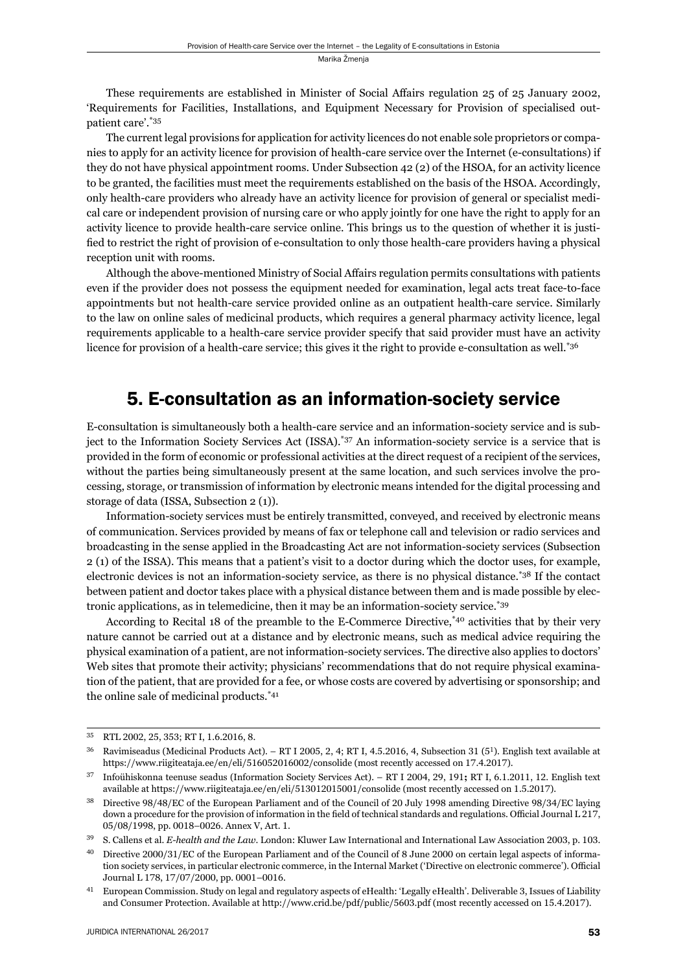These requirements are established in Minister of Social Affairs regulation 25 of 25 January 2002, 'Requirements for Facilities, Installations, and Equipment Necessary for Provision of specialised outpatient care'.\*35

The current legal provisions for application for activity licences do not enable sole proprietors or companies to apply for an activity licence for provision of health-care service over the Internet (e-consultations) if they do not have physical appointment rooms. Under Subsection 42 (2) of the HSOA, for an activity licence to be granted, the facilities must meet the requirements established on the basis of the HSOA. Accordingly, only health-care providers who already have an activity licence for provision of general or specialist medical care or independent provision of nursing care or who apply jointly for one have the right to apply for an activity licence to provide health-care service online. This brings us to the question of whether it is justified to restrict the right of provision of e-consultation to only those health-care providers having a physical reception unit with rooms.

Although the above-mentioned Ministry of Social Affairs regulation permits consultations with patients even if the provider does not possess the equipment needed for examination, legal acts treat face-to-face appointments but not health-care service provided online as an outpatient health-care service. Similarly to the law on online sales of medicinal products, which requires a general pharmacy activity licence, legal requirements applicable to a health-care service provider specify that said provider must have an activity licence for provision of a health-care service; this gives it the right to provide e-consultation as well.<sup>\*36</sup>

## 5. E-consultation as an information-society service

E-consultation is simultaneously both a health-care service and an information-society service and is subject to the Information Society Services Act (ISSA).\*37 An information-society service is a service that is provided in the form of economic or professional activities at the direct request of a recipient of the services, without the parties being simultaneously present at the same location, and such services involve the processing, storage, or transmission of information by electronic means intended for the digital processing and storage of data (ISSA, Subsection 2 (1)).

Information-society services must be entirely transmitted, conveyed, and received by electronic means of communication. Services provided by means of fax or telephone call and television or radio services and broadcasting in the sense applied in the Broadcasting Act are not information-society services (Subsection 2 (1) of the ISSA). This means that a patient's visit to a doctor during which the doctor uses, for example, electronic devices is not an information-society service, as there is no physical distance.\*38 If the contact between patient and doctor takes place with a physical distance between them and is made possible by electronic applications, as in telemedicine, then it may be an information-society service.\*39

According to Recital 18 of the preamble to the E-Commerce Directive,\*40 activities that by their very nature cannot be carried out at a distance and by electronic means, such as medical advice requiring the physical examination of a patient, are not information-society services. The directive also applies to doctors' Web sites that promote their activity; physicians' recommendations that do not require physical examination of the patient, that are provided for a fee, or whose costs are covered by advertising or sponsorship; and the online sale of medicinal products.\*41

<sup>35</sup> RTL 2002, 25, 353; RT I, 1.6.2016, 8.

 $36$  Ravimiseadus (Medicinal Products Act). – RT I 2005, 2, 4; RT I, 4.5.2016, 4, Subsection 31 ( $5^1$ ). English text available at https://www.riigiteataja.ee/en/eli/516052016002/consolide (most recently accessed on 17.4.2017).

<sup>&</sup>lt;sup>37</sup> Infoühiskonna teenuse seadus (Information Society Services Act). – RT I 2004, 29, 191; RT I, 6.1.2011, 12. English text available at https://www.riigiteataja.ee/en/eli/513012015001/consolide (most recently accessed on 1.5.2017).

<sup>&</sup>lt;sup>38</sup> Directive 98/48/EC of the European Parliament and of the Council of 20 July 1998 amending Directive 98/34/EC laying down a procedure for the provision of information in the field of technical standards and regulations. Official Journal L 217, 05/08/1998, pp. 0018-0026. Annex V, Art. 1.

<sup>39</sup> S. Callens et al. *E-health and the Law*. London: Kluwer Law International and International Law Association 2003, p. 103.

Directive 2000/31/EC of the European Parliament and of the Council of 8 June 2000 on certain legal aspects of information society services, in particular electronic commerce, in the Internal Market ('Directive on electronic commerce'). Official Journal L 178, 17/07/2000, pp. 0001-0016.

<sup>&</sup>lt;sup>41</sup> European Commission. Study on legal and regulatory aspects of eHealth: 'Legally eHealth'. Deliverable 3, Issues of Liability and Consumer Protection. Available at http://www.crid.be/pdf/public/5603.pdf (most recently accessed on 15.4.2017).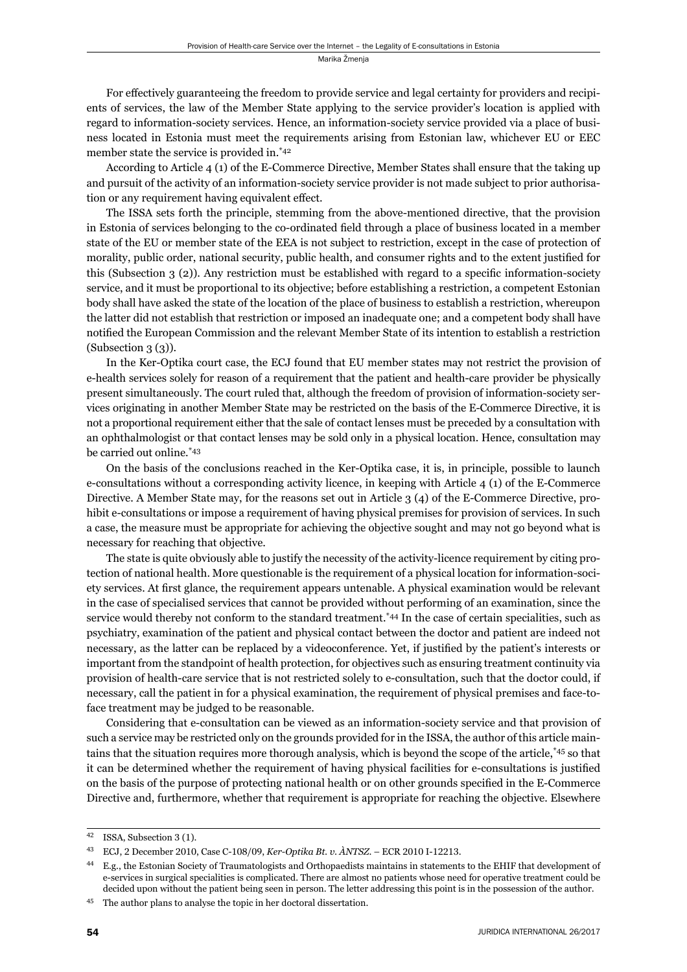For effectively guaranteeing the freedom to provide service and legal certainty for providers and recipients of services, the law of the Member State applying to the service provider's location is applied with regard to information-society services. Hence, an information-society service provided via a place of business located in Estonia must meet the requirements arising from Estonian law, whichever EU or EEC member state the service is provided in.\*42

According to Article 4 (1) of the E-Commerce Directive, Member States shall ensure that the taking up and pursuit of the activity of an information-society service provider is not made subject to prior authorisation or any requirement having equivalent effect.

The ISSA sets forth the principle, stemming from the above-mentioned directive, that the provision in Estonia of services belonging to the co-ordinated field through a place of business located in a member state of the EU or member state of the EEA is not subject to restriction, except in the case of protection of morality, public order, national security, public health, and consumer rights and to the extent justified for this (Subsection 3 (2)). Any restriction must be established with regard to a specifi c information-society service, and it must be proportional to its objective; before establishing a restriction, a competent Estonian body shall have asked the state of the location of the place of business to establish a restriction, whereupon the latter did not establish that restriction or imposed an inadequate one; and a competent body shall have notified the European Commission and the relevant Member State of its intention to establish a restriction  $(Subsection 3 (3)).$ 

In the Ker-Optika court case, the ECJ found that EU member states may not restrict the provision of e-health services solely for reason of a requirement that the patient and health-care provider be physically present simultaneously. The court ruled that, although the freedom of provision of information-society services originating in another Member State may be restricted on the basis of the E-Commerce Directive, it is not a proportional requirement either that the sale of contact lenses must be preceded by a consultation with an ophthalmologist or that contact lenses may be sold only in a physical location. Hence, consultation may be carried out online.\*43

On the basis of the conclusions reached in the Ker-Optika case, it is, in principle, possible to launch e-consultations without a corresponding activity licence, in keeping with Article 4 (1) of the E-Commerce Directive. A Member State may, for the reasons set out in Article 3 (4) of the E-Commerce Directive, prohibit e-consultations or impose a requirement of having physical premises for provision of services. In such a case, the measure must be appropriate for achieving the objective sought and may not go beyond what is necessary for reaching that objective.

The state is quite obviously able to justify the necessity of the activity-licence requirement by citing protection of national health. More questionable is the requirement of a physical location for information-society services. At first glance, the requirement appears untenable. A physical examination would be relevant in the case of specialised services that cannot be provided without performing of an examination, since the service would thereby not conform to the standard treatment.<sup>\*44</sup> In the case of certain specialities, such as psychiatry, examination of the patient and physical contact between the doctor and patient are indeed not necessary, as the latter can be replaced by a videoconference. Yet, if justified by the patient's interests or important from the standpoint of health protection, for objectives such as ensuring treatment continuity via provision of health-care service that is not restricted solely to e-consultation, such that the doctor could, if necessary, call the patient in for a physical examination, the requirement of physical premises and face-toface treatment may be judged to be reasonable.

Considering that e-consultation can be viewed as an information-society service and that provision of such a service may be restricted only on the grounds provided for in the ISSA, the author of this article maintains that the situation requires more thorough analysis, which is beyond the scope of the article,\*45 so that it can be determined whether the requirement of having physical facilities for e-consultations is justified on the basis of the purpose of protecting national health or on other grounds specified in the E-Commerce Directive and, furthermore, whether that requirement is appropriate for reaching the objective. Elsewhere

<sup>&</sup>lt;sup>42</sup> ISSA, Subsection 3 (1).

<sup>&</sup>lt;sup>43</sup> ECJ, 2 December 2010, Case C-108/09, Ker-Optika Bt. v. ÀNTSZ. – ECR 2010 I-12213.

<sup>&</sup>lt;sup>44</sup> E.g., the Estonian Society of Traumatologists and Orthopaedists maintains in statements to the EHIF that development of e-services in surgical specialities is complicated. There are almost no patients whose need for operative treatment could be decided upon without the patient being seen in person. The letter addressing this point is in the possession of the author.

ɵɶ The author plans to analyse the topic in her doctoral dissertation.